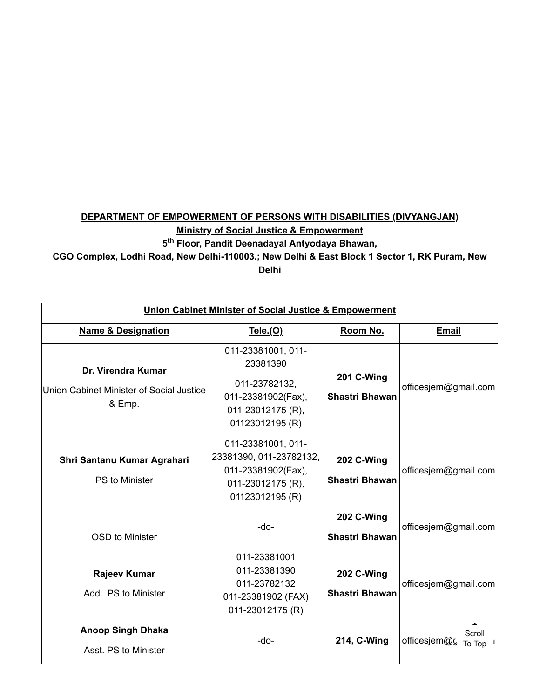## **DEPARTMENT OF EMPOWERMENT OF PERSONS WITH DISABILITIES (DIVYANGJAN)**

**Ministry of Social Justice & Empowerment**

**5 Floor, Pandit Deenadayal Antyodaya Bhawan, th**

## **CGO Complex, Lodhi Road, New Delhi-110003.; New Delhi & East Block 1 Sector 1, RK Puram, New**

**Delhi**

| <b>Union Cabinet Minister of Social Justice &amp; Empowerment</b>        |                                                                                                               |                                            |                                  |  |
|--------------------------------------------------------------------------|---------------------------------------------------------------------------------------------------------------|--------------------------------------------|----------------------------------|--|
| <b>Name &amp; Designation</b>                                            | <u>Tele.(O)</u>                                                                                               | Room No.                                   | <b>Email</b>                     |  |
| Dr. Virendra Kumar<br>Union Cabinet Minister of Social Justice<br>& Emp. | 011-23381001, 011-<br>23381390<br>011-23782132,<br>011-23381902(Fax),<br>011-23012175 (R).<br>01123012195 (R) | 201 C-Wing<br><b>Shastri Bhawan</b>        | officesjem@gmail.com             |  |
| Shri Santanu Kumar Agrahari<br>PS to Minister                            | 011-23381001, 011-<br>23381390, 011-23782132,<br>011-23381902(Fax),<br>011-23012175 (R),<br>01123012195 (R)   | <b>202 C-Wing</b><br><b>Shastri Bhawan</b> | officesjem@gmail.com             |  |
| <b>OSD</b> to Minister                                                   | -do-                                                                                                          | 202 C-Wing<br><b>Shastri Bhawan</b>        | officesjem@gmail.com             |  |
| <b>Rajeev Kumar</b><br>Addl. PS to Minister                              | 011-23381001<br>011-23381390<br>011-23782132<br>011-23381902 (FAX)<br>011-23012175 (R)                        | 202 C-Wing<br><b>Shastri Bhawan</b>        | officesjem@gmail.com             |  |
| <b>Anoop Singh Dhaka</b><br>Asst. PS to Minister                         | -do-                                                                                                          | 214, C-Wing                                | Scroll<br>officesjem@c<br>To Top |  |

2 of 8 3/23/2022, 12:59 PM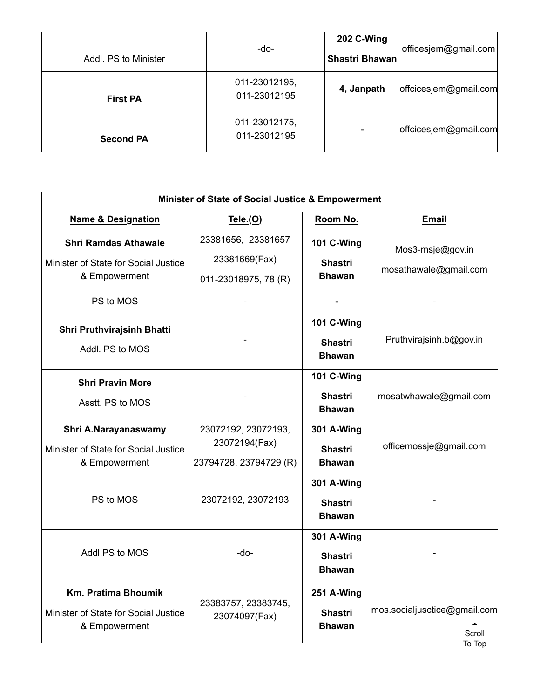| Addl. PS to Minister | -do-                          | 202 C-Wing<br>Shastri Bhawan | officesjem@gmail.com  |
|----------------------|-------------------------------|------------------------------|-----------------------|
| <b>First PA</b>      | 011-23012195,<br>011-23012195 | 4, Janpath                   | offcicesjem@gmail.com |
| <b>Second PA</b>     | 011-23012175,<br>011-23012195 | ۰                            | offcicesjem@gmail.com |

| Minister of State of Social Justice & Empowerment                                    |                                                                |                                                      |                                                  |
|--------------------------------------------------------------------------------------|----------------------------------------------------------------|------------------------------------------------------|--------------------------------------------------|
| <b>Name &amp; Designation</b>                                                        | Tele.(O)                                                       | Room No.                                             | <b>Email</b>                                     |
| <b>Shri Ramdas Athawale</b><br>Minister of State for Social Justice<br>& Empowerment | 23381656, 23381657<br>23381669(Fax)<br>011-23018975, 78 (R)    | <b>101 C-Wing</b><br><b>Shastri</b><br><b>Bhawan</b> | Mos3-msje@gov.in<br>mosathawale@gmail.com        |
| PS to MOS                                                                            |                                                                |                                                      |                                                  |
| Shri Pruthvirajsinh Bhatti<br>Addl. PS to MOS                                        |                                                                | <b>101 C-Wing</b><br><b>Shastri</b><br><b>Bhawan</b> | Pruthvirajsinh.b@gov.in                          |
| <b>Shri Pravin More</b><br>Asstt. PS to MOS                                          |                                                                | <b>101 C-Wing</b><br><b>Shastri</b><br><b>Bhawan</b> | mosatwhawale@gmail.com                           |
| Shri A.Narayanaswamy<br>Minister of State for Social Justice<br>& Empowerment        | 23072192, 23072193,<br>23072194(Fax)<br>23794728, 23794729 (R) | <b>301 A-Wing</b><br><b>Shastri</b><br><b>Bhawan</b> | officemossje@gmail.com                           |
| PS to MOS                                                                            | 23072192, 23072193                                             | <b>301 A-Wing</b><br><b>Shastri</b><br><b>Bhawan</b> |                                                  |
| Addl.PS to MOS                                                                       | -do-                                                           | <b>301 A-Wing</b><br><b>Shastri</b><br><b>Bhawan</b> |                                                  |
| <b>Km. Pratima Bhoumik</b><br>Minister of State for Social Justice<br>& Empowerment  | 23383757, 23383745,<br>23074097(Fax)                           | 251 A-Wing<br><b>Shastri</b><br><b>Bhawan</b>        | mos.socialjusctice@gmail.com<br>Scroll<br>To Top |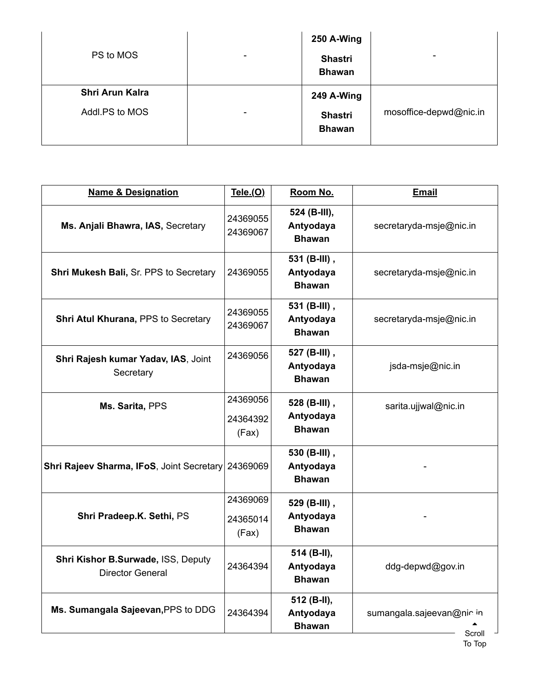| PS to MOS       | $\blacksquare$ | 250 A-Wing<br><b>Shastri</b><br><b>Bhawan</b> | $\blacksquare$         |
|-----------------|----------------|-----------------------------------------------|------------------------|
| Shri Arun Kalra |                | 249 A-Wing                                    |                        |
| Addl.PS to MOS  | $\blacksquare$ | <b>Shastri</b><br><b>Bhawan</b>               | mosoffice-depwd@nic.in |

| <b>Name &amp; Designation</b>                                 | Tele.(O)                      | Room No.                                   | <b>Email</b>                       |
|---------------------------------------------------------------|-------------------------------|--------------------------------------------|------------------------------------|
| Ms. Anjali Bhawra, IAS, Secretary                             | 24369055<br>24369067          | 524 (B-III),<br>Antyodaya<br><b>Bhawan</b> | secretaryda-msje@nic.in            |
| Shri Mukesh Bali, Sr. PPS to Secretary                        | 24369055                      | 531 (B-III),<br>Antyodaya<br><b>Bhawan</b> | secretaryda-msje@nic.in            |
| Shri Atul Khurana, PPS to Secretary                           | 24369055<br>24369067          | 531 (B-III),<br>Antyodaya<br><b>Bhawan</b> | secretaryda-msje@nic.in            |
| Shri Rajesh kumar Yadav, IAS, Joint<br>Secretary              | 24369056                      | 527 (B-III),<br>Antyodaya<br><b>Bhawan</b> | jsda-msje@nic.in                   |
| Ms. Sarita, PPS                                               | 24369056<br>24364392<br>(Fax) | 528 (B-III),<br>Antyodaya<br><b>Bhawan</b> | sarita.ujjwal@nic.in               |
| Shri Rajeev Sharma, IFoS, Joint Secretary 24369069            |                               | 530 (B-III),<br>Antyodaya<br><b>Bhawan</b> |                                    |
| Shri Pradeep.K. Sethi, PS                                     | 24369069<br>24365014<br>(Fax) | 529 (B-III),<br>Antyodaya<br><b>Bhawan</b> |                                    |
| Shri Kishor B.Surwade, ISS, Deputy<br><b>Director General</b> | 24364394                      | 514 (B-II),<br>Antyodaya<br><b>Bhawan</b>  | ddg-depwd@gov.in                   |
| Ms. Sumangala Sajeevan, PPS to DDG                            | 24364394                      | 512 (B-II),<br>Antyodaya<br><b>Bhawan</b>  | sumangala.sajeevan@nicin<br>Scroll |

To Top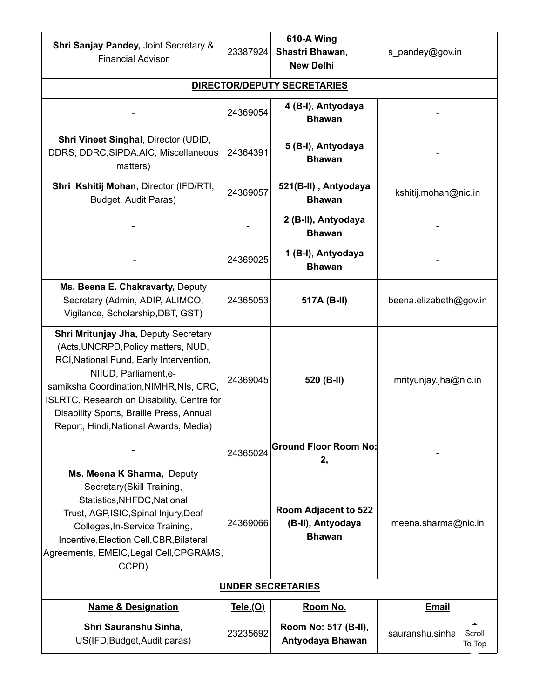| <b>Shri Sanjay Pandey, Joint Secretary &amp;</b><br><b>Financial Advisor</b>                                                                                                                                                                                                                                                    | 23387924 | 610-A Wing<br>Shastri Bhawan,<br><b>New Delhi</b>          | s_pandey@gov.in                     |
|---------------------------------------------------------------------------------------------------------------------------------------------------------------------------------------------------------------------------------------------------------------------------------------------------------------------------------|----------|------------------------------------------------------------|-------------------------------------|
|                                                                                                                                                                                                                                                                                                                                 |          | <b>DIRECTOR/DEPUTY SECRETARIES</b>                         |                                     |
|                                                                                                                                                                                                                                                                                                                                 | 24369054 | 4 (B-I), Antyodaya<br><b>Bhawan</b>                        |                                     |
| Shri Vineet Singhal, Director (UDID,<br>DDRS, DDRC, SIPDA, AIC, Miscellaneous<br>matters)                                                                                                                                                                                                                                       | 24364391 | 5 (B-I), Antyodaya<br><b>Bhawan</b>                        |                                     |
| Shri Kshitij Mohan, Director (IFD/RTI,<br>Budget, Audit Paras)                                                                                                                                                                                                                                                                  | 24369057 | 521(B-II), Antyodaya<br><b>Bhawan</b>                      | kshitij.mohan@nic.in                |
|                                                                                                                                                                                                                                                                                                                                 |          | 2 (B-II), Antyodaya<br><b>Bhawan</b>                       |                                     |
|                                                                                                                                                                                                                                                                                                                                 | 24369025 | 1 (B-I), Antyodaya<br><b>Bhawan</b>                        |                                     |
| Ms. Beena E. Chakravarty, Deputy<br>Secretary (Admin, ADIP, ALIMCO,<br>Vigilance, Scholarship, DBT, GST)                                                                                                                                                                                                                        | 24365053 | 517A (B-II)                                                | beena.elizabeth@gov.in              |
| Shri Mritunjay Jha, Deputy Secretary<br>(Acts, UNCRPD, Policy matters, NUD,<br>RCI, National Fund, Early Intervention,<br>NIIUD, Parliament, e-<br>samiksha, Coordination, NIMHR, NIs, CRC,<br>ISLRTC, Research on Disability, Centre for<br>Disability Sports, Braille Press, Annual<br>Report, Hindi, National Awards, Media) | 24369045 | 520 (B-II)                                                 | mrityunjay.jha@nic.in               |
|                                                                                                                                                                                                                                                                                                                                 | 24365024 | <b>Ground Floor Room No:</b><br>2,                         |                                     |
| Ms. Meena K Sharma, Deputy<br>Secretary(Skill Training,<br>Statistics, NHFDC, National<br>Trust, AGP, ISIC, Spinal Injury, Deaf<br>Colleges, In-Service Training,<br>Incentive, Election Cell, CBR, Bilateral<br>Agreements, EMEIC, Legal Cell, CPGRAMS,<br>CCPD)                                                               | 24369066 | Room Adjacent to 522<br>(B-II), Antyodaya<br><b>Bhawan</b> | meena.sharma@nic.in                 |
| <b>UNDER SECRETARIES</b>                                                                                                                                                                                                                                                                                                        |          |                                                            |                                     |
| <b>Name &amp; Designation</b>                                                                                                                                                                                                                                                                                                   | Tele.(O) | Room No.                                                   | <b>Email</b>                        |
| Shri Sauranshu Sinha,<br>US(IFD, Budget, Audit paras)                                                                                                                                                                                                                                                                           | 23235692 | Room No: 517 (B-II),<br>Antyodaya Bhawan                   | sauranshu.sinha<br>Scroll<br>To Top |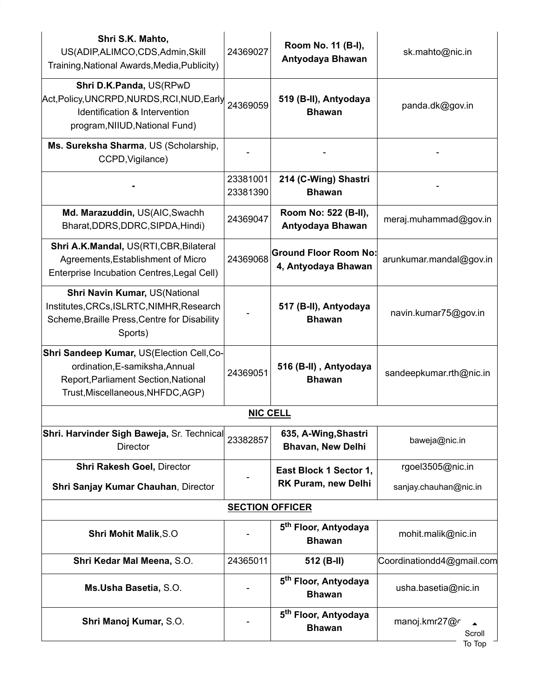| Shri S.K. Mahto,<br>US(ADIP, ALIMCO, CDS, Admin, Skill<br>Training, National Awards, Media, Publicity)                                                   | 24369027             | Room No. 11 (B-I),<br>Antyodaya Bhawan              | sk.mahto@nic.in                   |  |
|----------------------------------------------------------------------------------------------------------------------------------------------------------|----------------------|-----------------------------------------------------|-----------------------------------|--|
| Shri D.K.Panda, US(RPwD<br>Act, Policy, UNCRPD, NURDS, RCI, NUD, Early<br>Identification & Intervention<br>program, NIIUD, National Fund)                | 24369059             | 519 (B-II), Antyodaya<br><b>Bhawan</b>              | panda.dk@gov.in                   |  |
| Ms. Sureksha Sharma, US (Scholarship,<br>CCPD, Vigilance)                                                                                                |                      |                                                     |                                   |  |
|                                                                                                                                                          | 23381001<br>23381390 | 214 (C-Wing) Shastri<br><b>Bhawan</b>               |                                   |  |
| Md. Marazuddin, US(AIC, Swachh<br>Bharat, DDRS, DDRC, SIPDA, Hindi)                                                                                      | 24369047             | Room No: 522 (B-II),<br>Antyodaya Bhawan            | meraj.muhammad@gov.in             |  |
| Shri A.K.Mandal, US(RTI,CBR, Bilateral<br>Agreements, Establishment of Micro<br>Enterprise Incubation Centres, Legal Cell)                               | 24369068             | <b>Ground Floor Room No:</b><br>4, Antyodaya Bhawan | arunkumar.mandal@gov.in           |  |
| Shri Navin Kumar, US(National<br>Institutes, CRCs, ISLRTC, NIMHR, Research<br>Scheme, Braille Press, Centre for Disability<br>Sports)                    |                      | 517 (B-II), Antyodaya<br><b>Bhawan</b>              | navin.kumar75@gov.in              |  |
| Shri Sandeep Kumar, US(Election Cell, Co-<br>ordination, E-samiksha, Annual<br>Report, Parliament Section, National<br>Trust, Miscellaneous, NHFDC, AGP) | 24369051             | 516 (B-II), Antyodaya<br><b>Bhawan</b>              | sandeepkumar.rth@nic.in           |  |
|                                                                                                                                                          | <b>NIC CELL</b>      |                                                     |                                   |  |
| Shri. Harvinder Sigh Baweja, Sr. Technical<br><b>Director</b>                                                                                            | 23382857             | 635, A-Wing, Shastri<br><b>Bhavan, New Delhi</b>    | baweja@nic.in                     |  |
| Shri Rakesh Goel, Director                                                                                                                               |                      | East Block 1 Sector 1,                              | rgoel3505@nic.in                  |  |
| Shri Sanjay Kumar Chauhan, Director                                                                                                                      |                      | RK Puram, new Delhi                                 | sanjay.chauhan@nic.in             |  |
| <b>SECTION OFFICER</b>                                                                                                                                   |                      |                                                     |                                   |  |
| <b>Shri Mohit Malik, S.O</b>                                                                                                                             |                      | 5 <sup>th</sup> Floor, Antyodaya<br><b>Bhawan</b>   | mohit.malik@nic.in                |  |
| Shri Kedar Mal Meena, S.O.                                                                                                                               | 24365011             | 512 (B-II)                                          | Coordinationdd4@gmail.com         |  |
| Ms.Usha Basetia, S.O.                                                                                                                                    |                      | 5 <sup>th</sup> Floor, Antyodaya<br><b>Bhawan</b>   | usha.basetia@nic.in               |  |
| Shri Manoj Kumar, S.O.                                                                                                                                   |                      | 5 <sup>th</sup> Floor, Antyodaya<br><b>Bhawan</b>   | manoj.kmr27@r<br>Scroll<br>To Top |  |